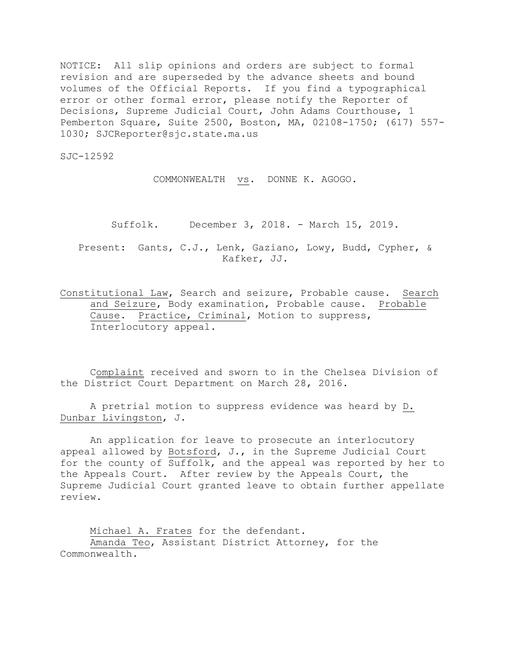NOTICE: All slip opinions and orders are subject to formal revision and are superseded by the advance sheets and bound volumes of the Official Reports. If you find a typographical error or other formal error, please notify the Reporter of Decisions, Supreme Judicial Court, John Adams Courthouse, 1 Pemberton Square, Suite 2500, Boston, MA, 02108-1750; (617) 557- 1030; SJCReporter@sjc.state.ma.us

SJC-12592

COMMONWEALTH vs. DONNE K. AGOGO.

Suffolk. December 3, 2018. - March 15, 2019.

Present: Gants, C.J., Lenk, Gaziano, Lowy, Budd, Cypher, & Kafker, JJ.

Constitutional Law, Search and seizure, Probable cause. Search and Seizure, Body examination, Probable cause. Probable Cause. Practice, Criminal, Motion to suppress, Interlocutory appeal.

Complaint received and sworn to in the Chelsea Division of the District Court Department on March 28, 2016.

A pretrial motion to suppress evidence was heard by D. Dunbar Livingston, J.

An application for leave to prosecute an interlocutory appeal allowed by Botsford, J., in the Supreme Judicial Court for the county of Suffolk, and the appeal was reported by her to the Appeals Court. After review by the Appeals Court, the Supreme Judicial Court granted leave to obtain further appellate review.

Michael A. Frates for the defendant. Amanda Teo, Assistant District Attorney, for the Commonwealth.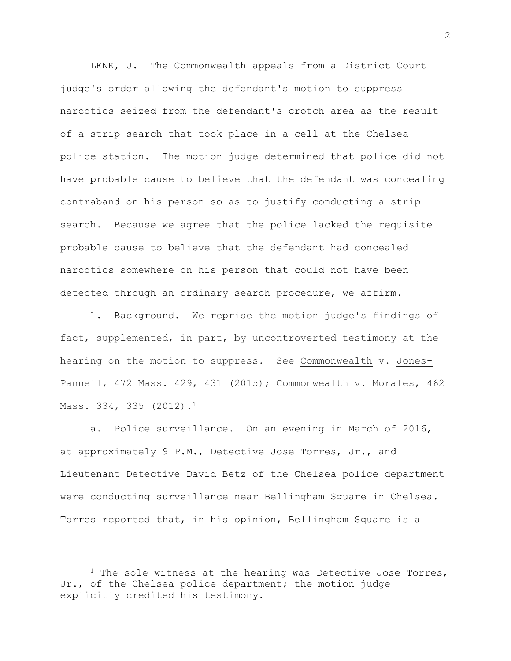LENK, J. The Commonwealth appeals from a District Court judge's order allowing the defendant's motion to suppress narcotics seized from the defendant's crotch area as the result of a strip search that took place in a cell at the Chelsea police station. The motion judge determined that police did not have probable cause to believe that the defendant was concealing contraband on his person so as to justify conducting a strip search. Because we agree that the police lacked the requisite probable cause to believe that the defendant had concealed narcotics somewhere on his person that could not have been detected through an ordinary search procedure, we affirm.

1. Background. We reprise the motion judge's findings of fact, supplemented, in part, by uncontroverted testimony at the hearing on the motion to suppress. See Commonwealth v. Jones-Pannell, 472 Mass. 429, 431 (2015); Commonwealth v. Morales, 462 Mass. 334, 335 (2012).<sup>1</sup>

a. Police surveillance. On an evening in March of 2016, at approximately 9 P.M., Detective Jose Torres, Jr., and Lieutenant Detective David Betz of the Chelsea police department were conducting surveillance near Bellingham Square in Chelsea**.** Torres reported that, in his opinion, Bellingham Square is a

 $\overline{a}$ 

2

<sup>&</sup>lt;sup>1</sup> The sole witness at the hearing was Detective Jose Torres, Jr., of the Chelsea police department; the motion judge explicitly credited his testimony.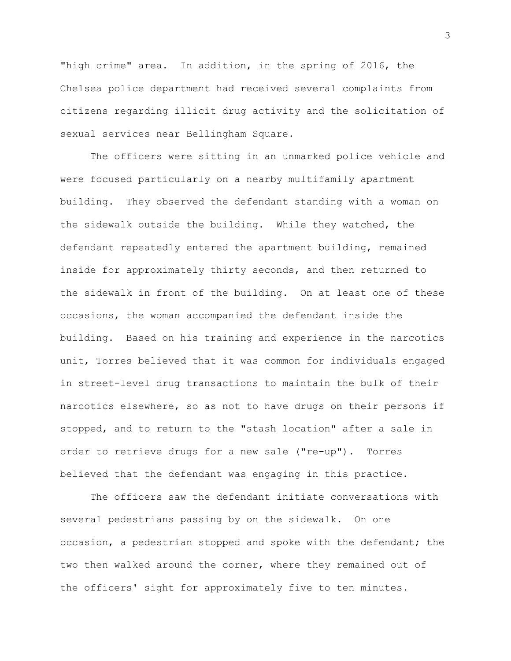"high crime" area. In addition, in the spring of 2016, the Chelsea police department had received several complaints from citizens regarding illicit drug activity and the solicitation of sexual services near Bellingham Square.

The officers were sitting in an unmarked police vehicle and were focused particularly on a nearby multifamily apartment building. They observed the defendant standing with a woman on the sidewalk outside the building. While they watched, the defendant repeatedly entered the apartment building, remained inside for approximately thirty seconds, and then returned to the sidewalk in front of the building. On at least one of these occasions, the woman accompanied the defendant inside the building. Based on his training and experience in the narcotics unit, Torres believed that it was common for individuals engaged in street-level drug transactions to maintain the bulk of their narcotics elsewhere, so as not to have drugs on their persons if stopped, and to return to the "stash location" after a sale in order to retrieve drugs for a new sale ("re-up"). Torres believed that the defendant was engaging in this practice.

The officers saw the defendant initiate conversations with several pedestrians passing by on the sidewalk**.** On one occasion, a pedestrian stopped and spoke with the defendant; the two then walked around the corner, where they remained out of the officers' sight for approximately five to ten minutes.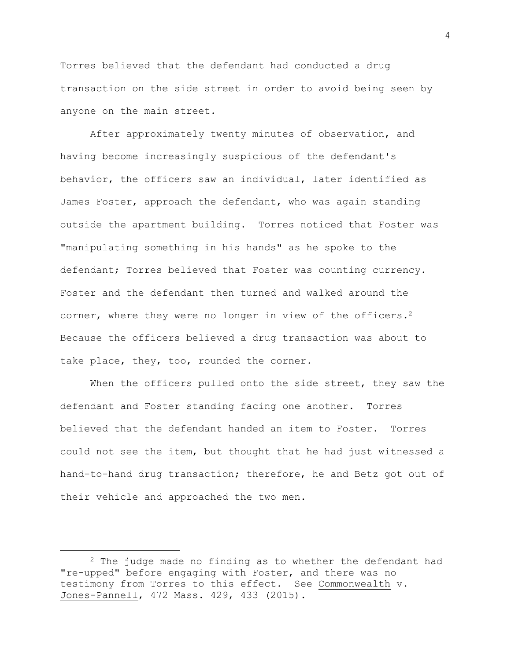Torres believed that the defendant had conducted a drug transaction on the side street in order to avoid being seen by anyone on the main street.

After approximately twenty minutes of observation, and having become increasingly suspicious of the defendant's behavior, the officers saw an individual, later identified as James Foster, approach the defendant, who was again standing outside the apartment building. Torres noticed that Foster was "manipulating something in his hands" as he spoke to the defendant; Torres believed that Foster was counting currency. Foster and the defendant then turned and walked around the corner, where they were no longer in view of the officers.<sup>2</sup> Because the officers believed a drug transaction was about to take place, they, too, rounded the corner.

When the officers pulled onto the side street, they saw the defendant and Foster standing facing one another. Torres believed that the defendant handed an item to Foster. Torres could not see the item, but thought that he had just witnessed a hand-to-hand drug transaction; therefore, he and Betz got out of their vehicle and approached the two men.

 $2$  The judge made no finding as to whether the defendant had "re-upped" before engaging with Foster, and there was no testimony from Torres to this effect. See Commonwealth v. Jones-Pannell, 472 Mass. 429, 433 (2015).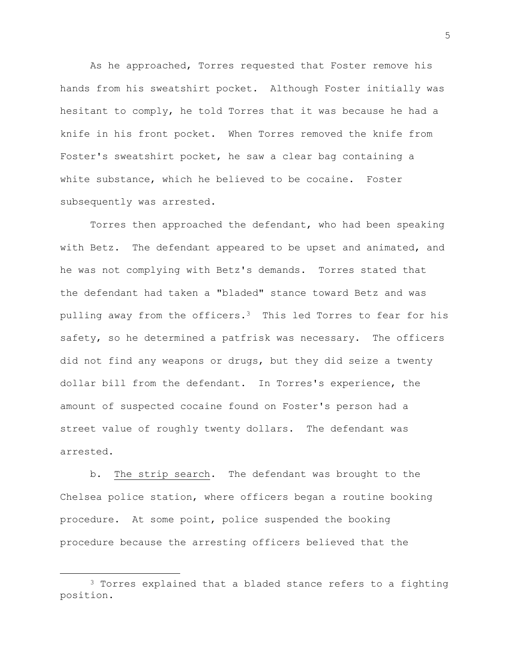As he approached, Torres requested that Foster remove his hands from his sweatshirt pocket. Although Foster initially was hesitant to comply, he told Torres that it was because he had a knife in his front pocket. When Torres removed the knife from Foster's sweatshirt pocket, he saw a clear bag containing a white substance, which he believed to be cocaine. Foster subsequently was arrested.

Torres then approached the defendant, who had been speaking with Betz. The defendant appeared to be upset and animated, and he was not complying with Betz's demands. Torres stated that the defendant had taken a "bladed" stance toward Betz and was pulling away from the officers.<sup>3</sup> This led Torres to fear for his safety, so he determined a patfrisk was necessary. The officers did not find any weapons or drugs, but they did seize a twenty dollar bill from the defendant. In Torres's experience, the amount of suspected cocaine found on Foster's person had a street value of roughly twenty dollars. The defendant was arrested.

b. The strip search. The defendant was brought to the Chelsea police station, where officers began a routine booking procedure. At some point, police suspended the booking procedure because the arresting officers believed that the

<sup>&</sup>lt;sup>3</sup> Torres explained that a bladed stance refers to a fighting position.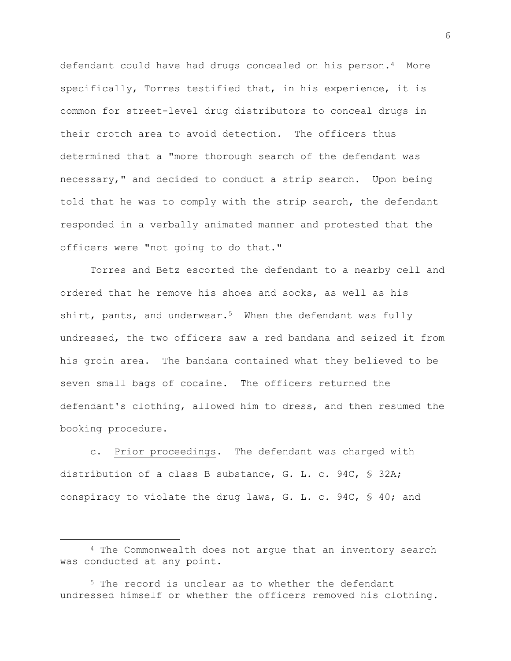defendant could have had drugs concealed on his person.4 More specifically, Torres testified that, in his experience, it is common for street-level drug distributors to conceal drugs in their crotch area to avoid detection. The officers thus determined that a "more thorough search of the defendant was necessary," and decided to conduct a strip search. Upon being told that he was to comply with the strip search, the defendant responded in a verbally animated manner and protested that the officers were "not going to do that."

Torres and Betz escorted the defendant to a nearby cell and ordered that he remove his shoes and socks, as well as his shirt, pants, and underwear.<sup>5</sup> When the defendant was fully undressed, the two officers saw a red bandana and seized it from his groin area. The bandana contained what they believed to be seven small bags of cocaine. The officers returned the defendant's clothing, allowed him to dress, and then resumed the booking procedure.

c. Prior proceedings. The defendant was charged with distribution of a class B substance, G. L. c. 94C, § 32A; conspiracy to violate the drug laws, G. L. c. 94C, § 40; and

<sup>4</sup> The Commonwealth does not argue that an inventory search was conducted at any point.

<sup>5</sup> The record is unclear as to whether the defendant undressed himself or whether the officers removed his clothing.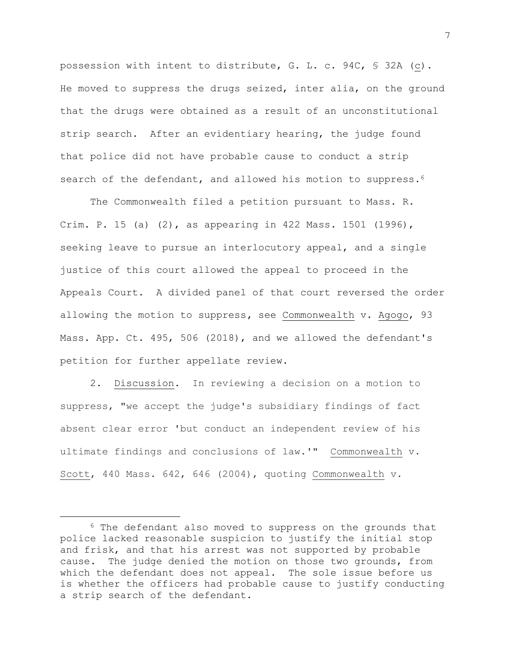possession with intent to distribute, G. L. c. 94C, § 32A (c). He moved to suppress the drugs seized, inter alia, on the ground that the drugs were obtained as a result of an unconstitutional strip search. After an evidentiary hearing, the judge found that police did not have probable cause to conduct a strip search of the defendant, and allowed his motion to suppress.<sup>6</sup>

The Commonwealth filed a petition pursuant to Mass. R. Crim. P. 15 (a) (2), as appearing in 422 Mass. 1501 (1996), seeking leave to pursue an interlocutory appeal, and a single justice of this court allowed the appeal to proceed in the Appeals Court**.** A divided panel of that court reversed the order allowing the motion to suppress**,** see Commonwealth v. Agogo, 93 Mass. App. Ct. 495, 506 (2018), and we allowed the defendant's petition for further appellate review.

2. Discussion. In reviewing a decision on a motion to suppress, "we accept the judge's subsidiary findings of fact absent clear error 'but conduct an independent review of his ultimate findings and conclusions of law.'" Commonwealth v. Scott, 440 Mass. 642, 646 (2004), quoting Commonwealth v.

<sup>&</sup>lt;sup>6</sup> The defendant also moved to suppress on the grounds that police lacked reasonable suspicion to justify the initial stop and frisk, and that his arrest was not supported by probable cause. The judge denied the motion on those two grounds, from which the defendant does not appeal. The sole issue before us is whether the officers had probable cause to justify conducting a strip search of the defendant.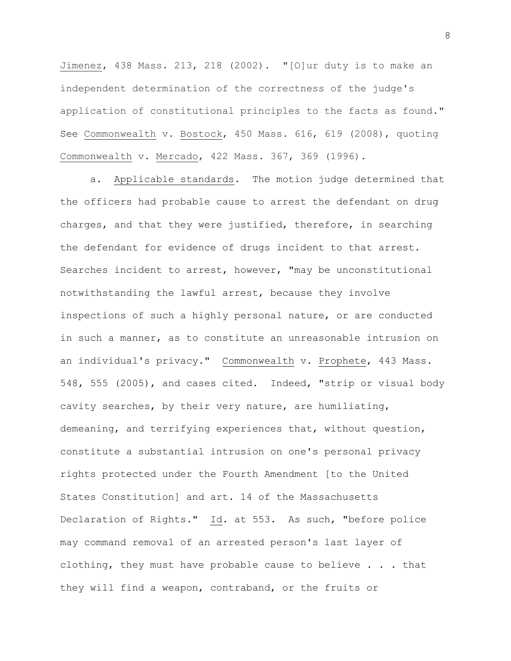Jimenez, 438 Mass. 213, 218 (2002). "[O]ur duty is to make an independent determination of the correctness of the judge's application of constitutional principles to the facts as found." See Commonwealth v. Bostock, 450 Mass. 616, 619 (2008), quoting Commonwealth v. Mercado, 422 Mass. 367, 369 (1996).

a. Applicable standards. The motion judge determined that the officers had probable cause to arrest the defendant on drug charges, and that they were justified, therefore, in searching the defendant for evidence of drugs incident to that arrest. Searches incident to arrest, however, "may be unconstitutional notwithstanding the lawful arrest, because they involve inspections of such a highly personal nature, or are conducted in such a manner, as to constitute an unreasonable intrusion on an individual's privacy." Commonwealth v. Prophete, 443 Mass. 548, 555 (2005), and cases cited. Indeed, "strip or visual body cavity searches, by their very nature, are humiliating, demeaning, and terrifying experiences that, without question, constitute a substantial intrusion on one's personal privacy rights protected under the Fourth Amendment [to the United States Constitution] and art. 14 of the Massachusetts Declaration of Rights." Id. at 553. As such, "before police may command removal of an arrested person's last layer of clothing, they must have probable cause to believe . . . that they will find a weapon, contraband, or the fruits or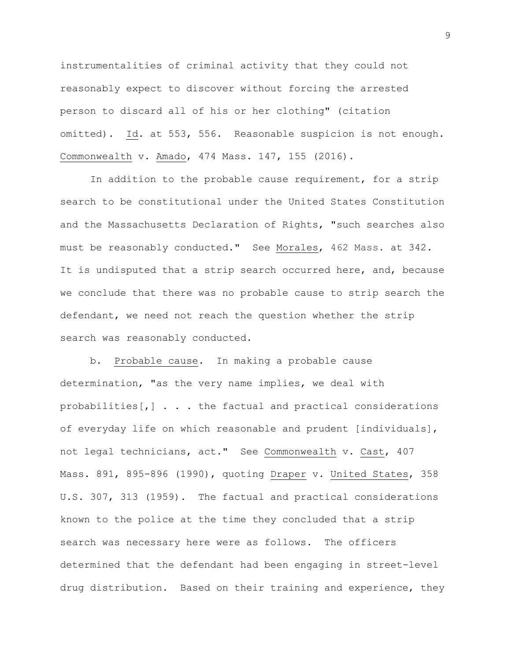instrumentalities of criminal activity that they could not reasonably expect to discover without forcing the arrested person to discard all of his or her clothing" (citation omitted). Id. at 553, 556. Reasonable suspicion is not enough. Commonwealth v. Amado, 474 Mass. 147, 155 (2016).

In addition to the probable cause requirement, for a strip search to be constitutional under the United States Constitution and the Massachusetts Declaration of Rights, "such searches also must be reasonably conducted." See Morales, 462 Mass. at 342. It is undisputed that a strip search occurred here, and, because we conclude that there was no probable cause to strip search the defendant, we need not reach the question whether the strip search was reasonably conducted.

b. Probable cause. In making a probable cause determination, "as the very name implies, we deal with probabilities[,] . . . the factual and practical considerations of everyday life on which reasonable and prudent [individuals], not legal technicians, act." See Commonwealth v. Cast, 407 Mass. 891, 895-896 (1990), quoting Draper v. United States, 358 U.S. 307, 313 (1959). The factual and practical considerations known to the police at the time they concluded that a strip search was necessary here were as follows. The officers determined that the defendant had been engaging in street-level drug distribution. Based on their training and experience, they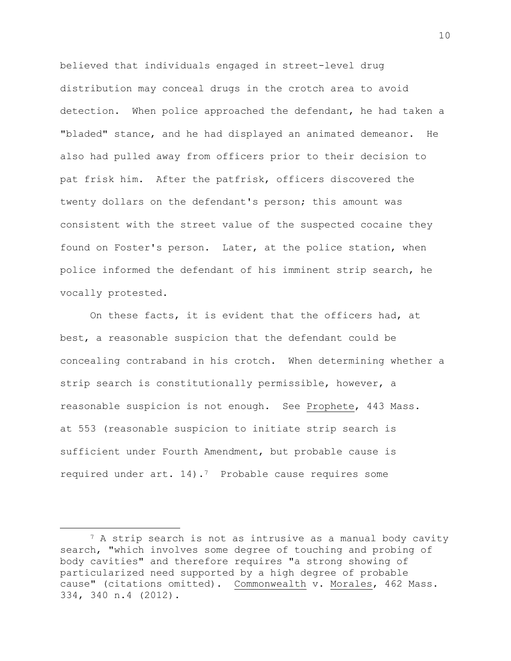believed that individuals engaged in street-level drug distribution may conceal drugs in the crotch area to avoid detection. When police approached the defendant, he had taken a "bladed" stance, and he had displayed an animated demeanor. He also had pulled away from officers prior to their decision to pat frisk him. After the patfrisk, officers discovered the twenty dollars on the defendant's person; this amount was consistent with the street value of the suspected cocaine they found on Foster's person. Later, at the police station, when police informed the defendant of his imminent strip search, he vocally protested.

On these facts, it is evident that the officers had, at best, a reasonable suspicion that the defendant could be concealing contraband in his crotch. When determining whether a strip search is constitutionally permissible, however, a reasonable suspicion is not enough. See Prophete, 443 Mass. at 553 (reasonable suspicion to initiate strip search is sufficient under Fourth Amendment, but probable cause is required under  $art. 14$ ).<sup>7</sup> Probable cause requires some

<sup>&</sup>lt;sup>7</sup> A strip search is not as intrusive as a manual body cavity search, "which involves some degree of touching and probing of body cavities" and therefore requires "a strong showing of particularized need supported by a high degree of probable cause" (citations omitted). Commonwealth v. Morales, 462 Mass. 334, 340 n.4 (2012).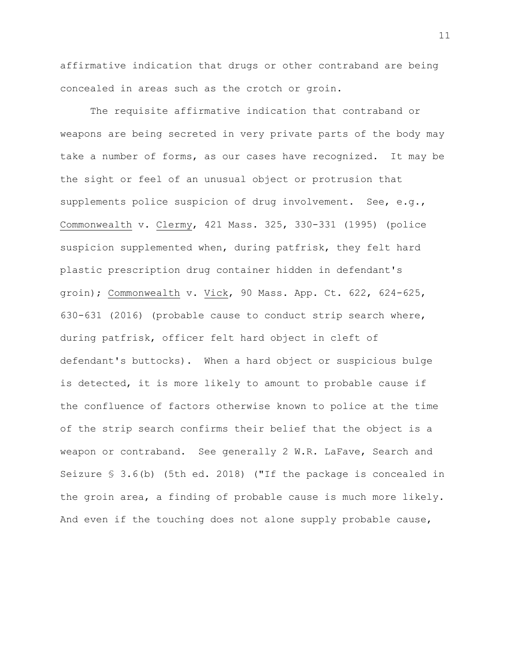affirmative indication that drugs or other contraband are being concealed in areas such as the crotch or groin.

The requisite affirmative indication that contraband or weapons are being secreted in very private parts of the body may take a number of forms, as our cases have recognized. It may be the sight or feel of an unusual object or protrusion that supplements police suspicion of drug involvement. See, e.g., Commonwealth v. Clermy, 421 Mass. 325, 330-331 (1995) (police suspicion supplemented when, during patfrisk, they felt hard plastic prescription drug container hidden in defendant's groin); Commonwealth v. Vick, 90 Mass. App. Ct. 622, 624-625, 630-631 (2016) (probable cause to conduct strip search where, during patfrisk, officer felt hard object in cleft of defendant's buttocks). When a hard object or suspicious bulge is detected, it is more likely to amount to probable cause if the confluence of factors otherwise known to police at the time of the strip search confirms their belief that the object is a weapon or contraband. See generally 2 W.R. LaFave, Search and Seizure § 3.6(b) (5th ed. 2018) ("If the package is concealed in the groin area, a finding of probable cause is much more likely. And even if the touching does not alone supply probable cause,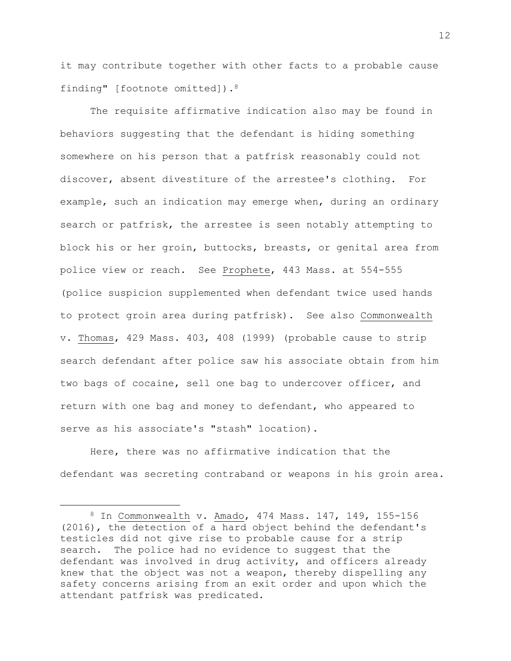it may contribute together with other facts to a probable cause finding" [footnote omitted]).<sup>8</sup>

The requisite affirmative indication also may be found in behaviors suggesting that the defendant is hiding something somewhere on his person that a patfrisk reasonably could not discover, absent divestiture of the arrestee's clothing. For example, such an indication may emerge when, during an ordinary search or patfrisk, the arrestee is seen notably attempting to block his or her groin, buttocks, breasts, or genital area from police view or reach. See Prophete, 443 Mass. at 554-555 (police suspicion supplemented when defendant twice used hands to protect groin area during patfrisk). See also Commonwealth v. Thomas, 429 Mass. 403, 408 (1999) (probable cause to strip search defendant after police saw his associate obtain from him two bags of cocaine, sell one bag to undercover officer, and return with one bag and money to defendant, who appeared to serve as his associate's "stash" location).

Here, there was no affirmative indication that the defendant was secreting contraband or weapons in his groin area.

<sup>8</sup> In Commonwealth v. Amado, 474 Mass. 147, 149, 155-156 (2016), the detection of a hard object behind the defendant's testicles did not give rise to probable cause for a strip search. The police had no evidence to suggest that the defendant was involved in drug activity, and officers already knew that the object was not a weapon, thereby dispelling any safety concerns arising from an exit order and upon which the attendant patfrisk was predicated.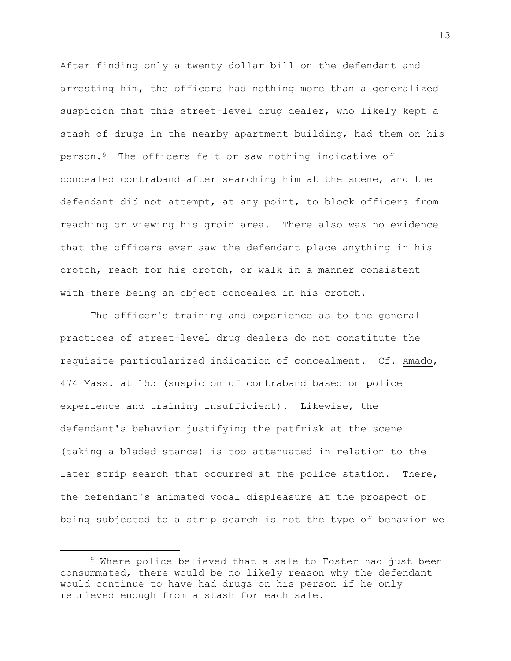After finding only a twenty dollar bill on the defendant and arresting him, the officers had nothing more than a generalized suspicion that this street-level drug dealer, who likely kept a stash of drugs in the nearby apartment building, had them on his person.<sup>9</sup> The officers felt or saw nothing indicative of concealed contraband after searching him at the scene, and the defendant did not attempt, at any point, to block officers from reaching or viewing his groin area. There also was no evidence that the officers ever saw the defendant place anything in his crotch, reach for his crotch, or walk in a manner consistent with there being an object concealed in his crotch.

The officer's training and experience as to the general practices of street-level drug dealers do not constitute the requisite particularized indication of concealment. Cf. Amado, 474 Mass. at 155 (suspicion of contraband based on police experience and training insufficient). Likewise, the defendant's behavior justifying the patfrisk at the scene (taking a bladed stance) is too attenuated in relation to the later strip search that occurred at the police station. There, the defendant's animated vocal displeasure at the prospect of being subjected to a strip search is not the type of behavior we

<sup>9</sup> Where police believed that a sale to Foster had just been consummated, there would be no likely reason why the defendant would continue to have had drugs on his person if he only retrieved enough from a stash for each sale.